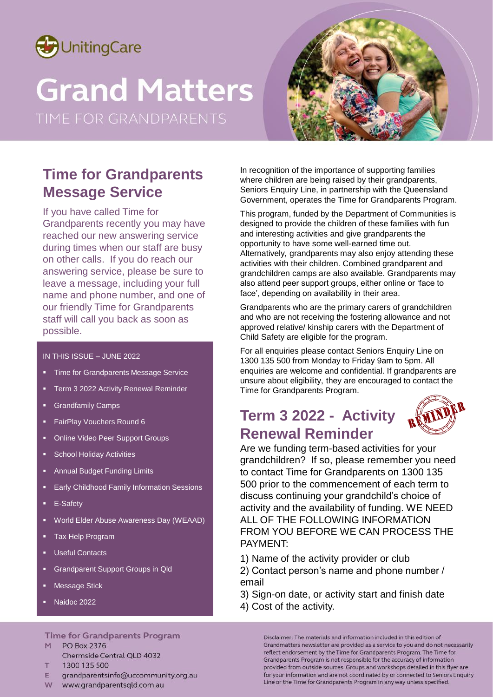

# **Grand Matters**



# **Time for Grandparents Message Service**

If you have called Time for Grandparents recently you may have reached our new answering service during times when our staff are busy on other calls. If you do reach our answering service, please be sure to leave a message, including your full name and phone number, and one of our friendly Time for Grandparents staff will call you back as soon as possible.

### IN THIS ISSUE – JUNE 2022

- Time for Grandparents Message Service
- Term 3 2022 Activity Renewal Reminder
- Grandfamily Camps
- FairPlay Vouchers Round 6
- Online Video Peer Support Groups
- School Holiday Activities
- Annual Budget Funding Limits
- Early Childhood Family Information Sessions
- E-Safety
- World Elder Abuse Awareness Day (WEAAD)
- Tax Help Program
- Useful Contacts
- Grandparent Support Groups in Qld
- Message Stick
- Naidoc 2022

### **Time for Grandparents Program**

- M PO Box 2376
	- Chermside Central QLD 4032
- 1300 135 500  $T$
- grandparentsinfo@uccommunity.org.au F.
- W www.grandparentsgld.com.au

In recognition of the importance of supporting families where children are being raised by their grandparents, Seniors Enquiry Line, in partnership with the Queensland Government, operates the Time for Grandparents Program.

This program, funded by the Department of Communities is designed to provide the children of these families with fun and interesting activities and give grandparents the opportunity to have some well-earned time out. Alternatively, grandparents may also enjoy attending these activities with their children. Combined grandparent and grandchildren camps are also available. Grandparents may also attend peer support groups, either online or 'face to face', depending on availability in their area.

Grandparents who are the primary carers of grandchildren and who are not receiving the fostering allowance and not approved relative/ kinship carers with the Department of Child Safety are eligible for the program.

For all enquiries please contact Seniors Enquiry Line on 1300 135 500 from Monday to Friday 9am to 5pm. All enquiries are welcome and confidential. If grandparents are unsure about eligibility, they are encouraged to contact the Time for Grandparents Program.

# **Term 3 2022 - Activity Renewal Reminder**



Are we funding term-based activities for your grandchildren? If so, please remember you need to contact Time for Grandparents on 1300 135 500 prior to the commencement of each term to discuss continuing your grandchild's choice of activity and the availability of funding. WE NEED ALL OF THE FOLLOWING INFORMATION FROM YOU BEFORE WE CAN PROCESS THE PAYMENT:

- 1) Name of the activity provider or club
- 2) Contact person's name and phone number / email
- 3) Sign-on date, or activity start and finish date
- 4) Cost of the activity.

Disclaimer: The materials and information included in this edition of Grandmatters newsletter are provided as a service to you and do not necessarily reflect endorsement by the Time for Grandparents Program. The Time for Grandparents Program is not responsible for the accuracy of information provided from outside sources. Groups and workshops detailed in this flyer are for your information and are not coordinated by or connected to Seniors Enquiry Line or the Time for Grandparents Program in any way unless specified.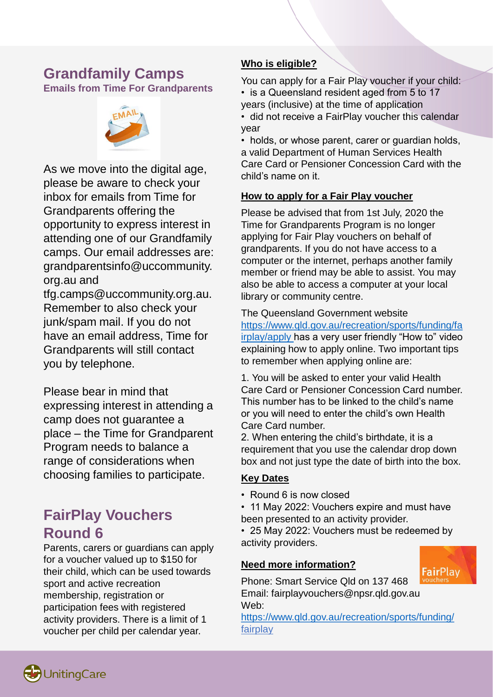### **Grandfamily Camps Emails from Time For Grandparents**



As we move into the digital age, please be aware to check your inbox for emails from Time for Grandparents offering the opportunity to express interest in attending one of our Grandfamily camps. Our email addresses are: grandparentsinfo@uccommunity. org.au and

tfg.camps@uccommunity.org.au. Remember to also check your junk/spam mail. If you do not have an email address, Time for Grandparents will still contact you by telephone.

Please bear in mind that expressing interest in attending a camp does not guarantee a place – the Time for Grandparent Program needs to balance a range of considerations when choosing families to participate.

# **FairPlay Vouchers Round 6**

Parents, carers or guardians can apply for a voucher valued up to \$150 for their child, which can be used towards sport and active recreation membership, registration or participation fees with registered activity providers. There is a limit of 1 voucher per child per calendar year.

### **Who is eligible?**

You can apply for a Fair Play voucher if your child: • is a Queensland resident aged from 5 to 17 years (inclusive) at the time of application • did not receive a FairPlay voucher this calendar year

• holds, or whose parent, carer or guardian holds, a valid Department of Human Services Health Care Card or Pensioner Concession Card with the child's name on it.

### **How to apply for a Fair Play voucher**

Please be advised that from 1st July, 2020 the Time for Grandparents Program is no longer applying for Fair Play vouchers on behalf of grandparents. If you do not have access to a computer or the internet, perhaps another family member or friend may be able to assist. You may also be able to access a computer at your local library or community centre.

The Queensland Government website https://www.qld.gov.au/recreation/sports/funding/fa [irplay/apply has a very user friendly "How to" video](https://www.qld.gov.au/recreation/sports/funding/fairplay/apply) explaining how to apply online. Two important tips to remember when applying online are:

1. You will be asked to enter your valid Health Care Card or Pensioner Concession Card number. This number has to be linked to the child's name or you will need to enter the child's own Health Care Card number.

2. When entering the child's birthdate, it is a requirement that you use the calendar drop down box and not just type the date of birth into the box.

### **Key Dates**

- Round 6 is now closed
- 11 May 2022: Vouchers expire and must have
- been presented to an activity provider.

• 25 May 2022: Vouchers must be redeemed by activity providers.

### **Need more information?**



Phone: Smart Service Qld on 137 468 Email: fairplayvouchers@npsr.qld.gov.au Web:

<https://www.qld.gov.au/recreation/sports/funding/> fairplay

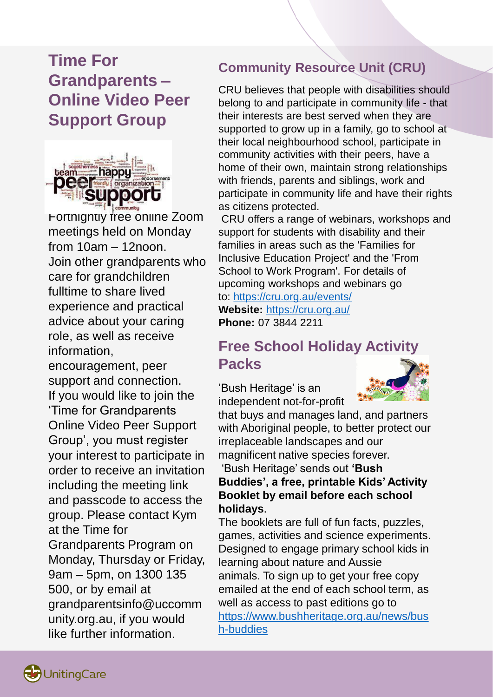# **Time For Grandparents – Online Video Peer Support Group**



Fortnightly free online Zoom meetings held on Monday from 10am – 12noon. Join other grandparents who care for grandchildren fulltime to share lived experience and practical advice about your caring role, as well as receive information,

encouragement, peer support and connection. If you would like to join the 'Time for Grandparents Online Video Peer Support Group', you must register your interest to participate in order to receive an invitation including the meeting link and passcode to access the group. Please contact Kym at the Time for Grandparents Program on Monday, Thursday or Friday, 9am – 5pm, on 1300 135 500, or by email at grandparentsinfo@uccomm unity.org.au, if you would like further information.

## **Community Resource Unit (CRU)**

CRU believes that people with disabilities should belong to and participate in community life - that their interests are best served when they are supported to grow up in a family, go to school at their local neighbourhood school, participate in community activities with their peers, have a home of their own, maintain strong relationships with friends, parents and siblings, work and participate in community life and have their rights as citizens protected.

CRU offers a range of webinars, workshops and support for students with disability and their families in areas such as the 'Families for Inclusive Education Project' and the 'From School to Work Program'. For details of upcoming workshops and webinars go to: <https://cru.org.au/events/> **Website:** <https://cru.org.au/> **Phone:** 07 3844 2211

# **Free School Holiday Activity Packs**

'Bush Heritage' is an independent not-for-profit



that buys and manages land, and partners with Aboriginal people, to better protect our irreplaceable landscapes and our magnificent native species forever.

### 'Bush Heritage' sends out **'Bush Buddies', a free, printable Kids' Activity Booklet by email before each school holidays**.

The booklets are full of fun facts, puzzles, games, activities and science experiments. Designed to engage primary school kids in learning about nature and Aussie animals. To sign up to get your free copy emailed at the end of each school term, as well as access to past editions go to [https://www.bushheritage.org.au/news/bus](https://www.bushheritage.org.au/news/bush-buddies) h-buddies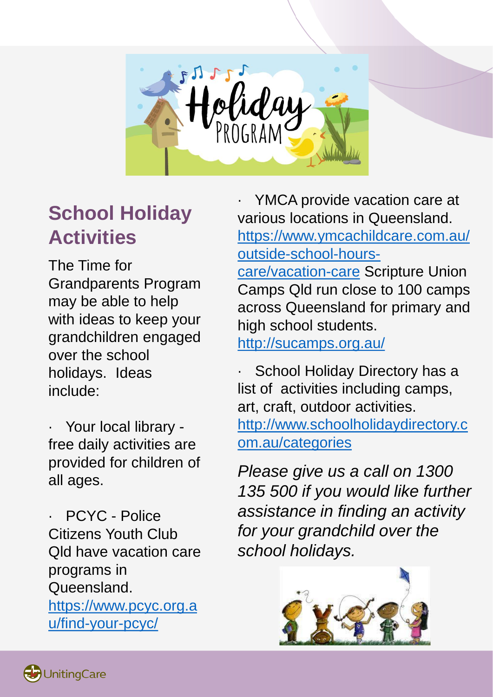

# **School Holiday Activities**

The Time for Grandparents Program may be able to help with ideas to keep your grandchildren engaged over the school holidays. Ideas include:

· Your local library free daily activities are provided for children of all ages.

PCYC - Police Citizens Youth Club Qld have vacation care programs in Queensland. [https://www.pcyc.org.a](https://www.pcyc.org.au/find-your-pcyc/) u/find-your-pcyc/

YMCA provide vacation care at various locations in Queensland. [https://www.ymcachildcare.com.au/](https://www.ymcachildcare.com.au/outside-school-hours-care/vacation-care) outside-school-hours-

care/vacation-care Scripture Union Camps Qld run close to 100 camps across Queensland for primary and high school students. <http://sucamps.org.au/>

School Holiday Directory has a

list of activities including camps, art, craft, outdoor activities. [http://www.schoolholidaydirectory.c](http://www.schoolholidaydirectory.com.au/categories) om.au/categories

*Please give us a call on 1300 135 500 if you would like further assistance in finding an activity for your grandchild over the school holidays.*

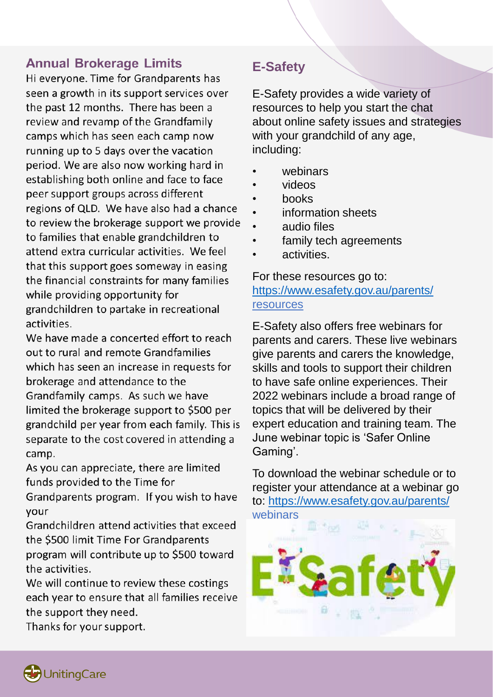# **Annual Brokerage Limits**

Hi everyone. Time for Grandparents has seen a growth in its support services over the past 12 months. There has been a review and revamp of the Grandfamily camps which has seen each camp now running up to 5 days over the vacation period. We are also now working hard in establishing both online and face to face peer support groups across different regions of QLD. We have also had a chance to review the brokerage support we provide to families that enable grandchildren to attend extra curricular activities. We feel that this support goes someway in easing the financial constraints for many families while providing opportunity for grandchildren to partake in recreational activities.

We have made a concerted effort to reach out to rural and remote Grandfamilies which has seen an increase in requests for brokerage and attendance to the Grandfamily camps. As such we have limited the brokerage support to \$500 per grandchild per year from each family. This is separate to the cost covered in attending a camp.

As you can appreciate, there are limited funds provided to the Time for

Grandparents program. If you wish to have your

Grandchildren attend activities that exceed the \$500 limit Time For Grandparents program will contribute up to \$500 toward the activities.

We will continue to review these costings each year to ensure that all families receive the support they need.

Thanks for your support.

## **E-Safety**

E-Safety provides a wide variety of resources to help you start the chat about online safety issues and strategies with your grandchild of any age, including:

- webinars
- videos
- books
- information sheets
- audio files
- family tech agreements
- activities.

### For these resources go to: <https://www.esafety.gov.au/parents/> resources

E-Safety also offers free webinars for parents and carers. These live webinars give parents and carers the knowledge, skills and tools to support their children to have safe online experiences. Their 2022 webinars include a broad range of topics that will be delivered by their expert education and training team. The June webinar topic is 'Safer Online Gaming'.

To download the webinar schedule or to register your attendance at a webinar go to:<https://www.esafety.gov.au/parents/> webinars



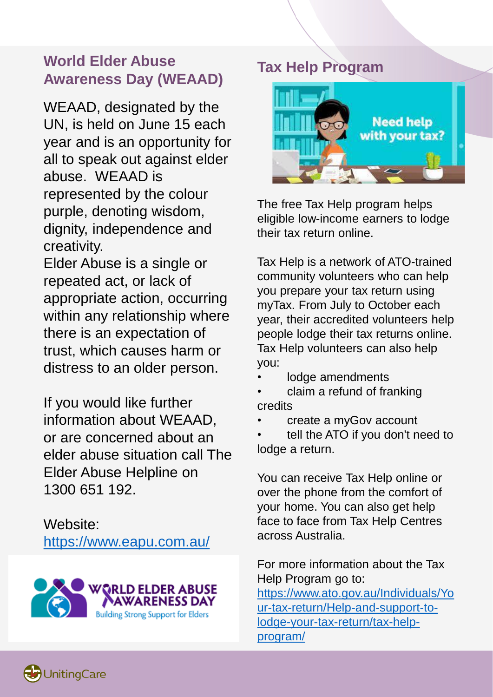# **World Elder Abuse Awareness Day (WEAAD)**

WEAAD, designated by the UN, is held on June 15 each year and is an opportunity for all to speak out against elder abuse. WEAAD is represented by the colour purple, denoting wisdom, dignity, independence and creativity.

Elder Abuse is a single or repeated act, or lack of appropriate action, occurring within any relationship where there is an expectation of trust, which causes harm or distress to an older person.

If you would like further information about WEAAD, or are concerned about an elder abuse situation call The Elder Abuse Helpline on 1300 651 192.

Website: <https://www.eapu.com.au/>



# **Tax Help Program**



The free Tax Help program helps eligible low-income earners to lodge their tax return online.

Tax Help is a network of ATO-trained community volunteers who can help you prepare your tax return using myTax. From July to October each year, their accredited volunteers help people lodge their tax returns online. Tax Help volunteers can also help you:

- lodge amendments
- claim a refund of franking credits
- create a myGov account

tell the ATO if you don't need to lodge a return.

You can receive Tax Help online or over the phone from the comfort of your home. You can also get help face to face from Tax Help Centres across Australia.

For more information about the Tax Help Program go to: https://www.ato.gov.au/Individuals/Yo [ur-tax-return/Help-and-support-to](https://www.ato.gov.au/Individuals/Your-tax-return/Help-and-support-to-lodge-your-tax-return/tax-help-program/)lodge-your-tax-return/tax-helpprogram/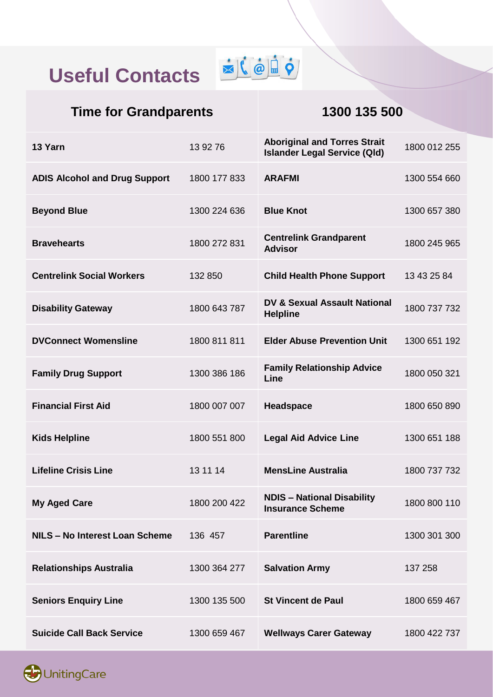# **Useful Contacts**



# **Time for Grandparents 1300 135 500**

| 13 Yarn                              | 13 92 76     | <b>Aboriginal and Torres Strait</b><br><b>Islander Legal Service (Qld)</b> | 1800 012 255 |
|--------------------------------------|--------------|----------------------------------------------------------------------------|--------------|
| <b>ADIS Alcohol and Drug Support</b> | 1800 177 833 | <b>ARAFMI</b>                                                              | 1300 554 660 |
| <b>Beyond Blue</b>                   | 1300 224 636 | <b>Blue Knot</b>                                                           | 1300 657 380 |
| <b>Bravehearts</b>                   | 1800 272 831 | <b>Centrelink Grandparent</b><br><b>Advisor</b>                            | 1800 245 965 |
| <b>Centrelink Social Workers</b>     | 132 850      | <b>Child Health Phone Support</b>                                          | 13 43 25 84  |
| <b>Disability Gateway</b>            | 1800 643 787 | DV & Sexual Assault National<br><b>Helpline</b>                            | 1800 737 732 |
| <b>DVConnect Womensline</b>          | 1800 811 811 | <b>Elder Abuse Prevention Unit</b>                                         | 1300 651 192 |
| <b>Family Drug Support</b>           | 1300 386 186 | <b>Family Relationship Advice</b><br>Line                                  | 1800 050 321 |
| <b>Financial First Aid</b>           | 1800 007 007 | Headspace                                                                  | 1800 650 890 |
| <b>Kids Helpline</b>                 | 1800 551 800 | <b>Legal Aid Advice Line</b>                                               | 1300 651 188 |
| <b>Lifeline Crisis Line</b>          | 13 11 14     | <b>MensLine Australia</b>                                                  | 1800 737 732 |
| <b>My Aged Care</b>                  | 1800 200 422 | <b>NDIS - National Disability</b><br><b>Insurance Scheme</b>               | 1800 800 110 |
| NILS - No Interest Loan Scheme       | 136 457      | <b>Parentline</b>                                                          | 1300 301 300 |
| <b>Relationships Australia</b>       | 1300 364 277 | <b>Salvation Army</b>                                                      | 137 258      |
| <b>Seniors Enquiry Line</b>          | 1300 135 500 | <b>St Vincent de Paul</b>                                                  | 1800 659 467 |
| <b>Suicide Call Back Service</b>     | 1300 659 467 | <b>Wellways Carer Gateway</b>                                              | 1800 422 737 |

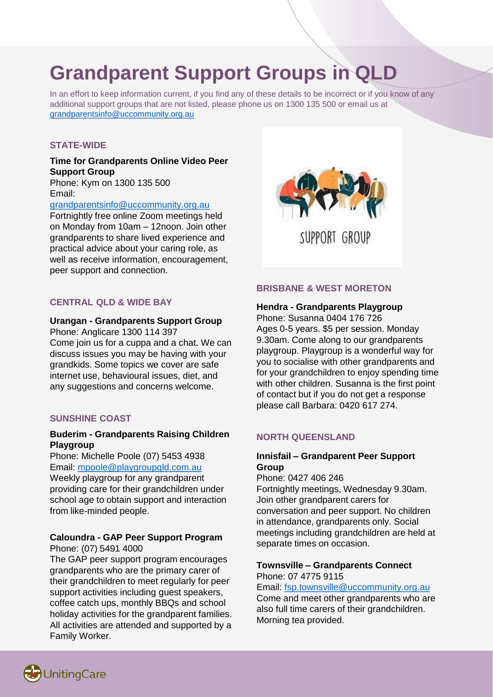# **Grandparent Support Groups in QLD**

In an effort to keep information current, if you find any of these details to be incorrect or if you know of any additional support groups that are not listed, please phone us on 1300 135 500 or email us at [grandparentsinfo@uccommunity.org.au](mailto:grandparentsinfo@uccommunity.org.au)

### **STATE-WIDE**

### **Time for Grandparents Online Video Peer Support Group**

Phone: Kym on 1300 135 500 Email:

[grandparentsinfo@uccommunity.org.au](mailto:grandparentsinfo@uccommunity.org.au)

Fortnightly free online Zoom meetings held on Monday from 10am – 12noon. Join other grandparents to share lived experience and practical advice about your caring role, as well as receive information, encouragement, peer support and connection.

### **CENTRAL QLD & WIDE BAY**

### **Urangan - Grandparents Support Group**

Phone: Anglicare 1300 114 397 Come join us for a cuppa and a chat. We can discuss issues you may be having with your grandkids. Some topics we cover are safe internet use, behavioural issues, diet, and any suggestions and concerns welcome.

### **SUNSHINE COAST**

### **Buderim - Grandparents Raising Children Playgroup**

Phone: Michelle Poole (07) 5453 4938 Email: [mpoole@playgroupqld.com.au](mailto:mpoole@playgroupqld.com.au)

Weekly playgroup for any grandparent providing care for their grandchildren under school age to obtain support and interaction from like-minded people.

#### **Caloundra - GAP Peer Support Program** Phone: (07) 5491 4000

The GAP peer support program encourages grandparents who are the primary carer of their grandchildren to meet regularly for peer support activities including guest speakers, coffee catch ups, monthly BBQs and school holiday activities for the grandparent families. All activities are attended and supported by a Family Worker.



### **BRISBANE & WEST MORETON**

#### **Hendra - Grandparents Playgroup**

Phone: Susanna 0404 176 726 Ages 0-5 years. \$5 per session. Monday 9.30am. Come along to our grandparents playgroup. Playgroup is a wonderful way for you to socialise with other grandparents and for your grandchildren to enjoy spending time with other children. Susanna is the first point of contact but if you do not get a response please call Barbara: 0420 617 274.

### **NORTH QUEENSLAND**

### **Innisfail – Grandparent Peer Support Group**

Phone: 0427 406 246 Fortnightly meetings, Wednesday 9.30am. Join other grandparent carers for conversation and peer support. No children in attendance, grandparents only. Social meetings including grandchildren are held at separate times on occasion.

### **Townsville – Grandparents Connect** Phone: 07 4775 9115

Email: [fsp.townsville@uccommunity.org.au](mailto:fsp.townsville@uccommunity.org.au) Come and meet other grandparents who are also full time carers of their grandchildren. Morning tea provided.

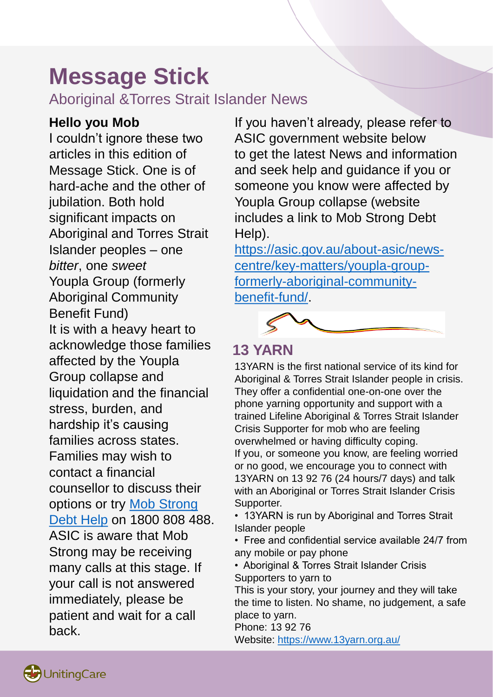# **Message Stick**

Aboriginal &Torres Strait Islander News

# **Hello you Mob**

I couldn't ignore these two articles in this edition of Message Stick. One is of hard-ache and the other of jubilation. Both hold significant impacts on Aboriginal and Torres Strait Islander peoples – one *bitter*, one *sweet* Youpla Group (formerly Aboriginal Community Benefit Fund) It is with a heavy heart to acknowledge those families affected by the Youpla Group collapse and liquidation and the financial stress, burden, and hardship it's causing families across states. Families may wish to contact a financial counsellor to discuss their options or try Mob Strong Debt Help [on 1800 808 48](https://financialrights.org.au/mob-strong-debt-help/)8. ASIC is aware that Mob Strong may be receiving many calls at this stage. If your call is not answered immediately, please be patient and wait for a call back.

If you haven't already, please refer to ASIC government website below to get the latest News and information and seek help and guidance if you or someone you know were affected by Youpla Group collapse (website includes a link to Mob Strong Debt Help).

[https://asic.gov.au/about-asic/news](https://asic.gov.au/about-asic/news-centre/key-matters/youpla-group-formerly-aboriginal-community-benefit-fund/)centre/key-matters/youpla-groupformerly-aboriginal-communitybenefit-fund/.



# **13 YARN**

13YARN is the first national service of its kind for Aboriginal & Torres Strait Islander people in crisis. They offer a confidential one-on-one over the phone yarning opportunity and support with a trained Lifeline Aboriginal & Torres Strait Islander Crisis Supporter for mob who are feeling overwhelmed or having difficulty coping. If you, or someone you know, are feeling worried or no good, we encourage you to connect with 13YARN on 13 92 76 (24 hours/7 days) and talk with an Aboriginal or Torres Strait Islander Crisis Supporter.

• 13YARN is run by Aboriginal and Torres Strait Islander people

• Free and confidential service available 24/7 from any mobile or pay phone

• Aboriginal & Torres Strait Islander Crisis Supporters to yarn to

This is your story, your journey and they will take the time to listen. No shame, no judgement, a safe place to yarn.

Phone: 13 92 76 Website:<https://www.13yarn.org.au/>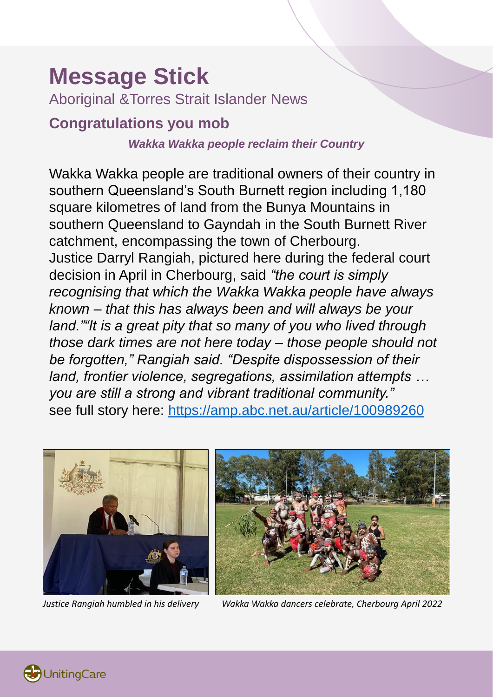# **Message Stick**

Aboriginal &Torres Strait Islander News

# **Congratulations you mob**

### *Wakka Wakka people reclaim their Country*

Wakka Wakka people are traditional owners of their country in southern Queensland's South Burnett region including 1,180 square kilometres of land from the Bunya Mountains in southern Queensland to Gayndah in the South Burnett River catchment, encompassing the town of Cherbourg. Justice Darryl Rangiah, pictured here during the federal court decision in April in Cherbourg, said *"the court is simply recognising that which the Wakka Wakka people have always known – that this has always been and will always be your land.""It is a great pity that so many of you who lived through those dark times are not here today – those people should not be forgotten," Rangiah said. "Despite dispossession of their land, frontier violence, segregations, assimilation attempts … you are still a strong and vibrant traditional community."*  see full story here:<https://amp.abc.net.au/article/100989260>





*Justice Rangiah humbled in his delivery Wakka Wakka dancers celebrate, Cherbourg April 2022*

**UnitingCare**